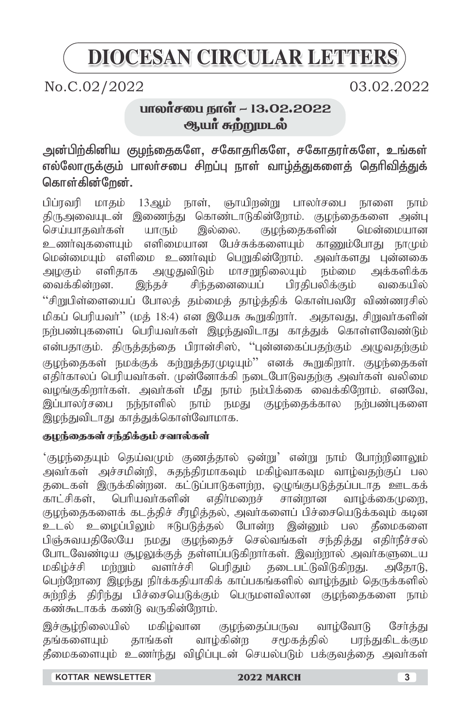# **DIOCESAN CIRCULAR LETTERS**

No.C.02/2022 03.02.2022

# பாலாசபை நாள் ~ 13.02.2022 ஆயா சுற்றுமடல்

அன்பிற்கினிய குழந்தைகளே, சகோதரிகளே, சகோதரர்களே, உங்கள் எல்லோருக்கும் பாலா்சபை சிறப்பு நாள் வாம்த்துகளைத் தெரிவித்துக் கொள்கின்றேன்.

பிப்ரவரி மாதம் 13ஆம் நாள், ஞாயிறன்று பாலர்சபை நாளை நாம் திருஅவையுடன் இணைந்து கொண்டாடுகின்றோம். குழந்தைகளை அன்பு செய்யாதவா்கள் யாரும் இல்லை. குழந்தைகளின் மென்மையான<br>உணா்வுகளையும் எளிமையான பேச்சுக்களையும் காணும்போது நாமும் எளிமையான பேச்சுக்களையும் காணும்போது நாமும் மென்மையும் எளிமை உணர்வும் பெறுகின்றோம். அவர்களது புன்னகை அழகும் எளிதாக அழுதுவிடும் மாசறுநிலையும் நம்மை அக்களிக்க வைக்கின்றன. இந்தச் சிந்தனையைப் பிரதிபலிக்கும் வகையில்  $``$ சிறுபிள்ளையைப் போலத் தம்மைத் தாழ்த்திக் கொள்பவரே விண்ணரசில் மிகப் பெரியவர்'' (மத் 18:4) என இயேசு கூறுகிறார். அதாவது, சிறுவர்களின் நற்பண்புகளைப் பெரியவா்கள் இழந்துவிடாது காத்துக் கொள்ளவேண்டும் என்பதாகும். திருத்தந்தை பிரான்சிஸ், ''புன்னகைப்பதற்கும் அழுவதற்கும் குழந்தைகள் நமக்குக் கற்றுத்தரமுடியும்'' எனக் கூறுகிறாா். குழந்தைகள் ு .<br>எதிர்காலப் பெரியவர்கள். முன்னோக்கி நடைபோடுவதற்கு அவர்கள் வலிமை வழங்குகிறார்கள். அவர்கள் மீது நாம் நம்பிக்கை வைக்கிறோம். எனவே, இப்பாலர்சபை நந்நாளில் நாம் நமது குழந்தைக்கால நற்பண்புகளை .<br>இழந்துவிடாது காத்துக்கொள்வோமாக.

## குழந்தைகள் சந்திக்கும் சவால்கள்

'குழந்தையும் தெய்வமும் குணத்தால் ஒன்று' என்று நாம் போற்றினாலும் அவா்கள் அச்சமின்றி, சுதந்திரமாகவும் மகிழ்வாகவும் வாழ்வதற்குப் பல தடைகள் இருக்கின்றன. கட்டுப்பாடுகளற்ற, ஒழுங்குபடுத்தப்படாத ஊடகக் காட்சிகள், பெரியவர்களின் எதிர்மறைச் சான்றான வாழ்க்கைமுறை, குழந்தைகளைக் கடத்திச் சீரழித்தல், அவர்களைப் பிச்சையெடுக்கவும் கடின உடல் உழைப்பிலும் ஈடுபடுத்தல் போன்ற இன்னும் பல தீமைகளை பிஞ்சுவயதிலேயே நமது குமந்தைச் செல்வங்கள் சந்தித்து எதிர்நீச்சல் போடவேண்டிய சூழலுக்குத் தள்ளப்படுகிறார்கள். இவற்றால் அவர்களுடைய மகிழ்ச்சி மற்றும் வளர்ச்சி பெரிதும் தடைபட்டுவிடுகிறது. அதோடு, ்பெர்நோரை இழந்து நிர்க்கதியாகிக் காப்பகங்களில் வாழ்ந்தும் தெருக்களில் சுற்றித் திரிந்து பிச்சையெடுக்கும் பெருமளவிலான குழந்தைகளை நாம் கண்கூடாகக் கண்டு வருகின்றோம்.

இச்சூழ்நிலையில் மகிழ்வான குழந்தைப்பருவ வாழ்வோடு சேர்த்து<br>கங்களையம் காங்கள் வாம்கின்ற சமூகக்கில் பாந்குகிடக்கும தங்களையும் தாங்கள் வாழ்கின்ற சமூகத்தில் பரந்துகிடக்கும தீமைகளையும் உணர்ந்து விழிப்புடன் செயல்படும் பக்குவத்தை அவர்கள்

 **KOTTAR NEWSLETTER 2022 MARCH 3**